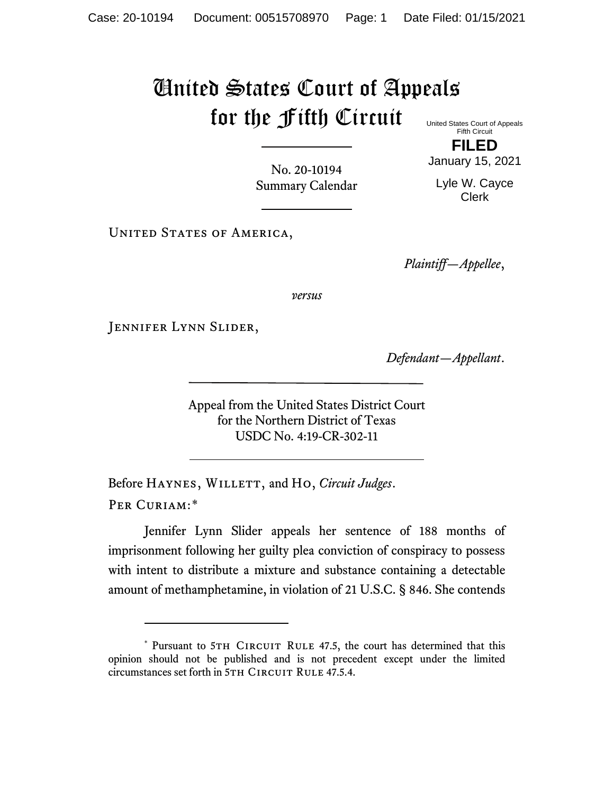## United States Court of Appeals for the Fifth Circuit United States Court of Appeals

Fifth Circuit **FILED**

January 15, 2021

Lyle W. Cayce Clerk

No. 20-10194 Summary Calendar

UNITED STATES OF AMERICA,

*Plaintiff—Appellee*,

*versus*

Jennifer Lynn Slider,

*Defendant—Appellant*.

Appeal from the United States District Court for the Northern District of Texas USDC No. 4:19-CR-302-11

Before HAYNES, WILLETT, and Ho, *Circuit Judges*. Per Curiam:[\\*](#page-0-0)

Jennifer Lynn Slider appeals her sentence of 188 months of imprisonment following her guilty plea conviction of conspiracy to possess with intent to distribute a mixture and substance containing a detectable amount of methamphetamine, in violation of 21 U.S.C. § 846. She contends

<span id="page-0-0"></span><sup>\*</sup> Pursuant to 5TH CIRCUIT RULE 47.5, the court has determined that this opinion should not be published and is not precedent except under the limited circumstances set forth in 5TH CIRCUIT RULE 47.5.4.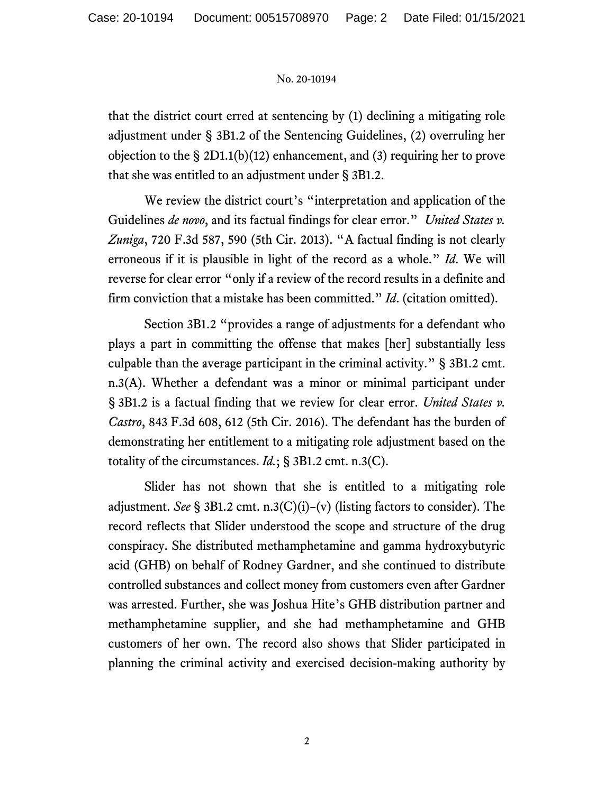## No. 20-10194

that the district court erred at sentencing by (1) declining a mitigating role adjustment under § 3B1.2 of the Sentencing Guidelines, (2) overruling her objection to the § 2D1.1(b)(12) enhancement, and (3) requiring her to prove that she was entitled to an adjustment under § 3B1.2.

We review the district court's "interpretation and application of the Guidelines *de novo*, and its factual findings for clear error." *United States v. Zuniga*, 720 F.3d 587, 590 (5th Cir. 2013). "A factual finding is not clearly erroneous if it is plausible in light of the record as a whole." *Id*. We will reverse for clear error "only if a review of the record results in a definite and firm conviction that a mistake has been committed." *Id*. (citation omitted).

Section 3B1.2 "provides a range of adjustments for a defendant who plays a part in committing the offense that makes [her] substantially less culpable than the average participant in the criminal activity." § 3B1.2 cmt. n.3(A). Whether a defendant was a minor or minimal participant under § 3B1.2 is a factual finding that we review for clear error. *United States v. Castro*, 843 F.3d 608, 612 (5th Cir. 2016). The defendant has the burden of demonstrating her entitlement to a mitigating role adjustment based on the totality of the circumstances. *Id.*; § 3B1.2 cmt. n.3(C).

Slider has not shown that she is entitled to a mitigating role adjustment. *See* § 3B1.2 cmt. n.3(C)(i)–(v) (listing factors to consider). The record reflects that Slider understood the scope and structure of the drug conspiracy. She distributed methamphetamine and gamma hydroxybutyric acid (GHB) on behalf of Rodney Gardner, and she continued to distribute controlled substances and collect money from customers even after Gardner was arrested. Further, she was Joshua Hite's GHB distribution partner and methamphetamine supplier, and she had methamphetamine and GHB customers of her own. The record also shows that Slider participated in planning the criminal activity and exercised decision-making authority by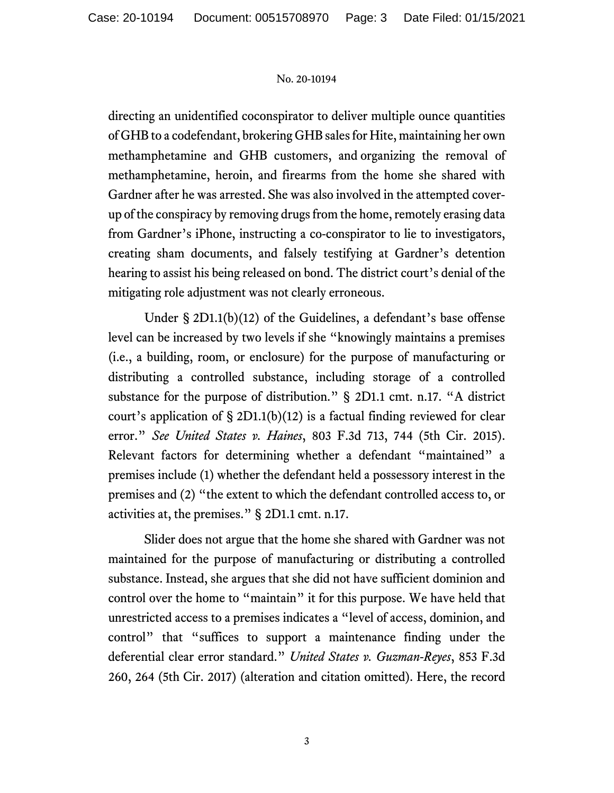## No. 20-10194

directing an unidentified coconspirator to deliver multiple ounce quantities of GHB to a codefendant, brokering GHB sales for Hite, maintaining her own methamphetamine and GHB customers, and organizing the removal of methamphetamine, heroin, and firearms from the home she shared with Gardner after he was arrested. She was also involved in the attempted coverup of the conspiracy by removing drugs from the home, remotely erasing data from Gardner's iPhone, instructing a co-conspirator to lie to investigators, creating sham documents, and falsely testifying at Gardner's detention hearing to assist his being released on bond. The district court's denial of the mitigating role adjustment was not clearly erroneous.

Under § 2D1.1(b)(12) of the Guidelines, a defendant's base offense level can be increased by two levels if she "knowingly maintains a premises (i.e., a building, room, or enclosure) for the purpose of manufacturing or distributing a controlled substance, including storage of a controlled substance for the purpose of distribution." § 2D1.1 cmt. n.17. "A district court's application of  $\S 2D1.1(b)(12)$  is a factual finding reviewed for clear error." *See United States v. Haines*, 803 F.3d 713, 744 (5th Cir. 2015). Relevant factors for determining whether a defendant "maintained" a premises include (1) whether the defendant held a possessory interest in the premises and (2) "the extent to which the defendant controlled access to, or activities at, the premises." § 2D1.1 cmt. n.17.

Slider does not argue that the home she shared with Gardner was not maintained for the purpose of manufacturing or distributing a controlled substance. Instead, she argues that she did not have sufficient dominion and control over the home to "maintain" it for this purpose. We have held that unrestricted access to a premises indicates a "level of access, dominion, and control" that "suffices to support a maintenance finding under the deferential clear error standard." *United States v. Guzman-Reyes*, 853 F.3d 260, 264 (5th Cir. 2017) (alteration and citation omitted). Here, the record